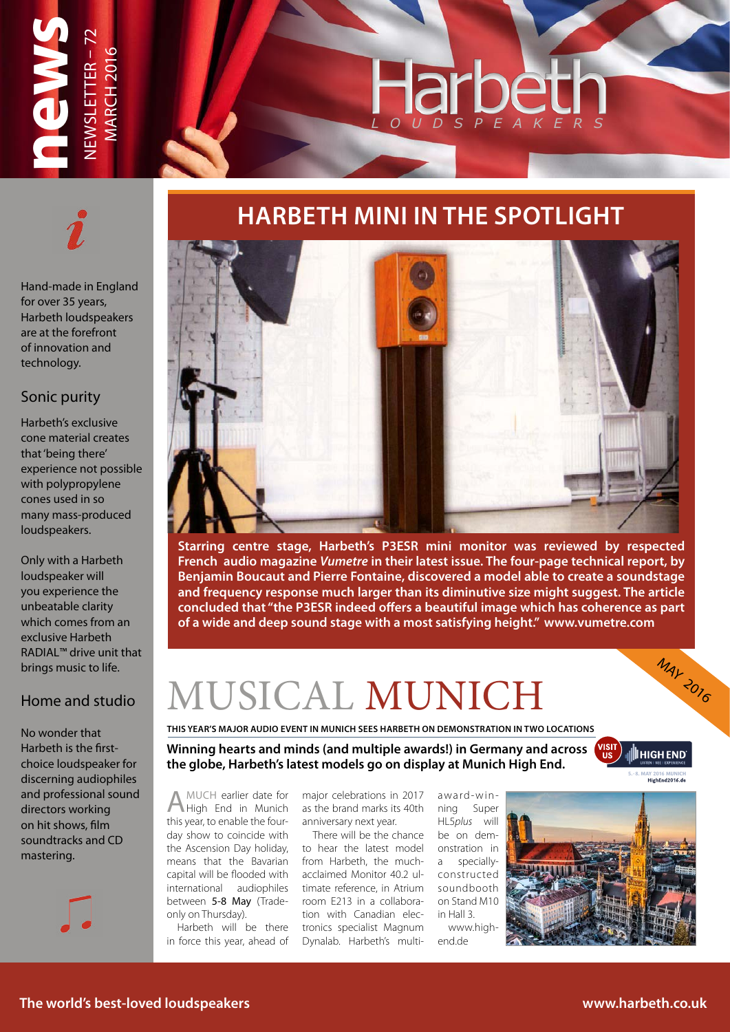

## **HARBETH MINI IN THE SPOTLIGHT**

Hand-made in England for over 35 years, Harbeth loudspeakers are at the forefront of innovation and technology.

#### Sonic purity

Harbeth's exclusive cone material creates that 'being there' experience not possible with polypropylene cones used in so many mass-produced loudspeakers.

Only with a Harbeth loudspeaker will you experience the unbeatable clarity which comes from an exclusive Harbeth RADIAL™ drive unit that brings music to life.

### Home and studio

No wonder that Harbeth is the firstchoice loudspeaker for discerning audiophiles and professional sound directors working on hit shows, film soundtracks and CD mastering.





**Starring centre stage, Harbeth's P3ESR mini monitor was reviewed by respected French audio magazine** *Vumetre* **in their latest issue. The four-page technical report, by Benjamin Boucaut and Pierre Fontaine, discovered a model able to create a soundstage and frequency response much larger than its diminutive size might suggest. The article concluded that "the P3ESR indeed offers a beautiful image which has coherence as part of a wide and deep sound stage with a most satisfying height." www.vumetre.com**

# MUSICAL MUNICH

**THIS YEAR'S MAJOR AUDIO EVENT IN MUNICH SEES HARBETH ON DEMONSTRATION IN TWO LOCATIONS**

**Winning hearts and minds (and multiple awards!) in Germany and across the globe, Harbeth's latest models go on display at Munich High End.**

**III** HIGH END'

**5.-8. MAY 2016 MUNICH**

**MAY 2016** 

AMUCH earlier date for High End in Munich this year, to enable the fourday show to coincide with the Ascension Day holiday, to hear the latest model means that the Bavarian capital will be flooded with international audiophiles between 5-8 May (Tradeonly on Thursday).

Harbeth will be there in force this year, ahead of major celebrations in 2017 as the brand marks its 40th anniversary next year.

There will be the chance from Harbeth, the muchacclaimed Monitor 40.2 ultimate reference, in Atrium room E213 in a collaboration with Canadian electronics specialist Magnum Dynalab. Harbeth's multi-

award-winning Super HL5*plus* will be on demonstration in a speciallyconstructed soundbooth on Stand M10 in Hall 3.

www.highend.de

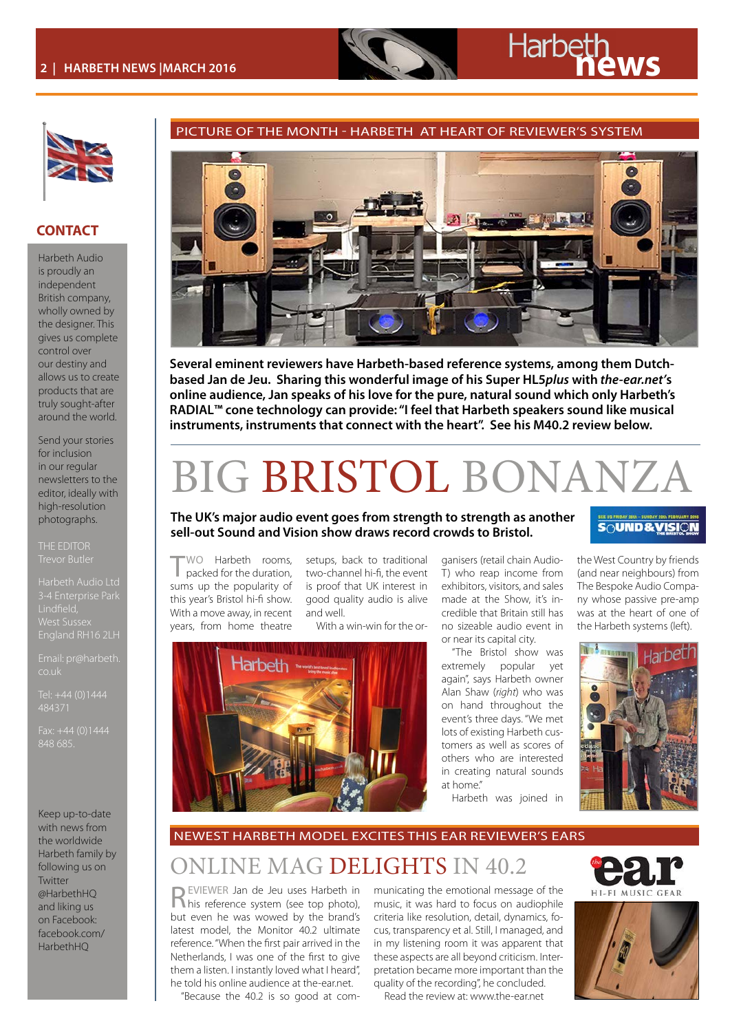

#### **CONTACT**

Harbeth Audio is proudly an independent British company, wholly owned by the designer. This gives us complete control over our destiny and allows us to create products that are truly sought-after around the world.

Send your stories for inclusion in our regular newsletters to the editor, ideally with high-resolution photographs.

THE EDITOR

Harbeth Audio Ltd West Sussex

Email: pr@harbeth. co.uk

484371

Keep up-to-date with news from the worldwide Harbeth family by following us on Twitter @HarbethHQ and liking us on Facebook: facebook.com/ HarbethHQ



PICTURE OF THE MONTH - HARBETH AT HEART OF REVIEWER'S SYSTEM

**Several eminent reviewers have Harbeth-based reference systems, among them Dutchbased Jan de Jeu. Sharing this wonderful image of his Super HL5***plus* **with** *the-ear.net'***s online audience, Jan speaks of his love for the pure, natural sound which only Harbeth's RADIAL™ cone technology can provide: "I feel that Harbeth speakers sound like musical instruments, instruments that connect with the heart". See his M40.2 review below.**

# BIG BRISTOL BONANZ

#### **The UK's major audio event goes from strength to strength as another sell-out Sound and Vision show draws record crowds to Bristol.**

TWO Harbeth rooms, packed for the duration, sums up the popularity of this year's Bristol hi-fi show. With a move away, in recent years, from home theatre

setups, back to traditional two-channel hi-fi, the event is proof that UK interest in good quality audio is alive and well.

With a win-win for the or-



ganisers (retail chain Audio-T) who reap income from exhibitors, visitors, and sales made at the Show, it's incredible that Britain still has no sizeable audio event in or near its capital city.

"The Bristol show was extremely popular yet again", says Harbeth owner Alan Shaw (*right*) who was on hand throughout the event's three days. "We met lots of existing Harbeth customers as well as scores of others who are interested in creating natural sounds at home."

Harbeth was joined in

#### **SOUND&VISION**

the West Country by friends (and near neighbours) from The Bespoke Audio Company whose passive pre-amp was at the heart of one of the Harbeth systems (left).



NEWEST HARBETH MODEL EXCITES THIS EAR REVIEWER'S EARS

### ONLINE MAG DELIGHTS IN 40.2

REVIEWER Jan de Jeu uses Harbeth in his reference system (see top photo), but even he was wowed by the brand's latest model, the Monitor 40.2 ultimate reference. "When the first pair arrived in the Netherlands, I was one of the first to give them a listen. I instantly loved what I heard", he told his online audience at the-ear.net.

"Because the 40.2 is so good at com-

municating the emotional message of the music, it was hard to focus on audiophile criteria like resolution, detail, dynamics, focus, transparency et al. Still, I managed, and in my listening room it was apparent that these aspects are all beyond criticism. Interpretation became more important than the quality of the recording", he concluded.

Read the review at: [www.the-ear.net](http://http://www.the-ear.net/review-hardware/harbeth-m402-standmount-loudspeaker)



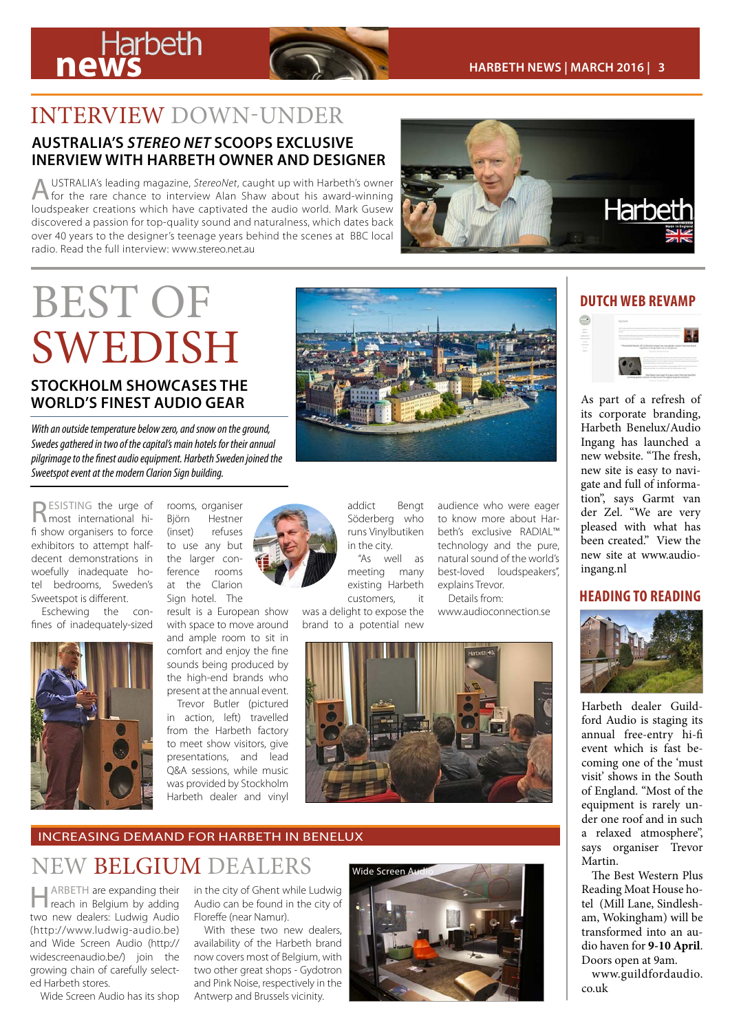

# INTERVIEW DOWN-UNDER

#### **AUSTRALIA'S** *STEREO NET* **SCOOPS EXCLUSIVE INERVIEW WITH HARBETH OWNER AND DESIGNER**

AUSTRALIA's leading magazine, *StereoNet*, caught up with Harbeth's owner for the rare chance to interview Alan Shaw about his award-winning loudspeaker creations which have captivated the audio world. Mark Gusew discovered a passion for top-quality sound and naturalness, which dates back over 40 years to the designer's teenage years behind the scenes at BBC local radio. Read the full interview: [www.stereo.net.au](http://http://www.stereo.net.au/articles/exclusive-alan-shaw-harbeth-interview)



# BEST OF **DUTCH WEB REVAMP** SWEDISH **STOCKHOLM SHOWCASES THE WORLD'S FINEST AUDIO GEAR**

*With an outside temperature below zero, and snow on the ground, Swedes gathered in two of the capital's main hotels for their annual pilgrimage to the finest audio equipment. Harbeth Sweden joined the Sweetspot event at the modern Clarion Sign building.*

RESISTING the urge of most international hifi show organisers to force exhibitors to attempt halfdecent demonstrations in woefully inadequate hotel bedrooms, Sweden's Sweetspot is different.

Eschewing the confines of inadequately-sized



rooms, organiser Björn Hestner (inset) refuses to use any but the larger conference rooms at the Clarion Sign hotel. The

result is a European show with space to move around and ample room to sit in comfort and enjoy the fine sounds being produced by the high-end brands who present at the annual event.

Trevor Butler (pictured in action, left) travelled from the Harbeth factory to meet show visitors, give presentations, and lead Q&A sessions, while music was provided by Stockholm Harbeth dealer and vinyl



addict Bengt Söderberg who runs Vinylbutiken in the city. "As well as

meeting many existing Harbeth customers, it

was a delight to expose the brand to a potential new

audience who were eager to know more about Harbeth's exclusive RADIAL™ technology and the pure, natural sound of the world's best-loved loudspeakers", explains Trevor.

Details from: www.audioconnection.se



### INCREASING DEMAND FOR HARBETH IN BENELUX

# NEW BELGIUM DEALERS

**HARBETH** are expanding their reach in Belgium by adding two new dealers: Ludwig Audio (http://www.ludwig-audio.be) and Wide Screen Audio (http:// widescreenaudio.be/) join the growing chain of carefully selected Harbeth stores.

Wide Screen Audio has its shop

in the city of Ghent while Ludwig Audio can be found in the city of Floreffe (near Namur).

With these two new dealers. availability of the Harbeth brand now covers most of Belgium, with two other great shops - Gydotron and Pink Noise, respectively in the Antwerp and Brussels vicinity.





As part of a refresh of its corporate branding, Harbeth Benelux/Audio Ingang has launched a new website. "The fresh, new site is easy to navigate and full of information", says Garmt van der Zel. "We are very pleased with what has been created." View the new site at www.audioingang.nl

#### **HEADING TO READING**



Harbeth dealer Guildford Audio is staging its annual free-entry hi-fi event which is fast becoming one of the 'must visit' shows in the South of England. "Most of the equipment is rarely under one roof and in such a relaxed atmosphere", says organiser Trevor Martin.

The Best Western Plus Reading Moat House hotel (Mill Lane, Sindlesham, Wokingham) will be transformed into an audio haven for **9-10 April**. Doors open at 9am.

www.guildfordaudio. co.uk